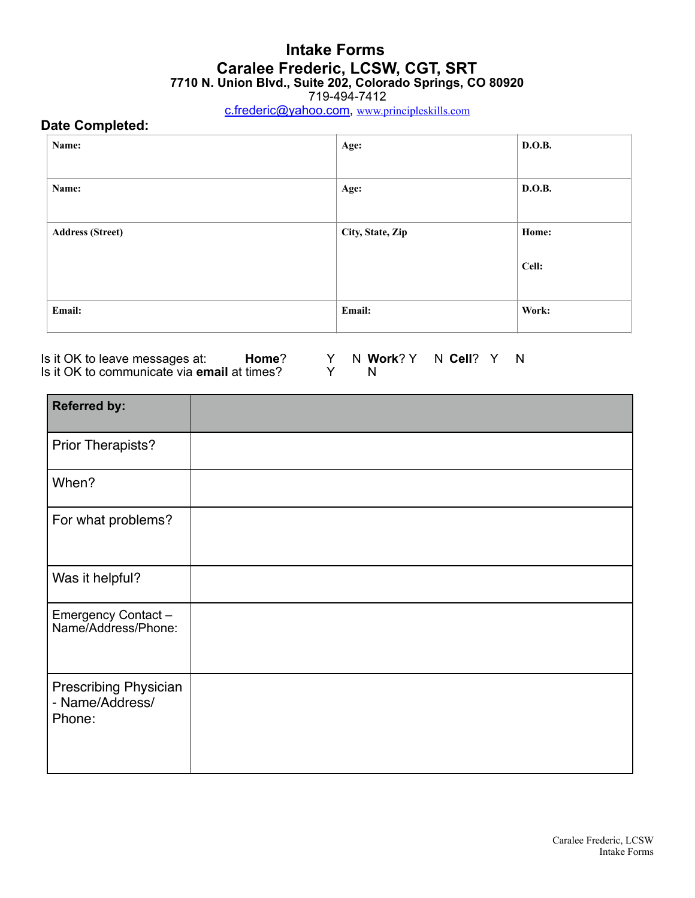719-494-7412

[c.frederic@yahoo.com](mailto:c.frederic@yahoo.com), [www.principleskills.com](http://www.principleskills.com)

## **Date Completed:**

| Name:                   | Age:             | D.O.B. |
|-------------------------|------------------|--------|
| Name:                   | Age:             | D.O.B. |
| <b>Address (Street)</b> | City, State, Zip | Home:  |
|                         |                  | Cell:  |
| Email:                  | Email:           | Work:  |

Is it OK to leave messages at: **Home**? Y N **Work**? Y N **Cell**? Y N Is it OK to communicate via **email** at times? Y N

| <b>Referred by:</b>                                       |  |
|-----------------------------------------------------------|--|
| Prior Therapists?                                         |  |
| When?                                                     |  |
| For what problems?                                        |  |
| Was it helpful?                                           |  |
| Emergency Contact-<br>Name/Address/Phone:                 |  |
| <b>Prescribing Physician</b><br>- Name/Address/<br>Phone: |  |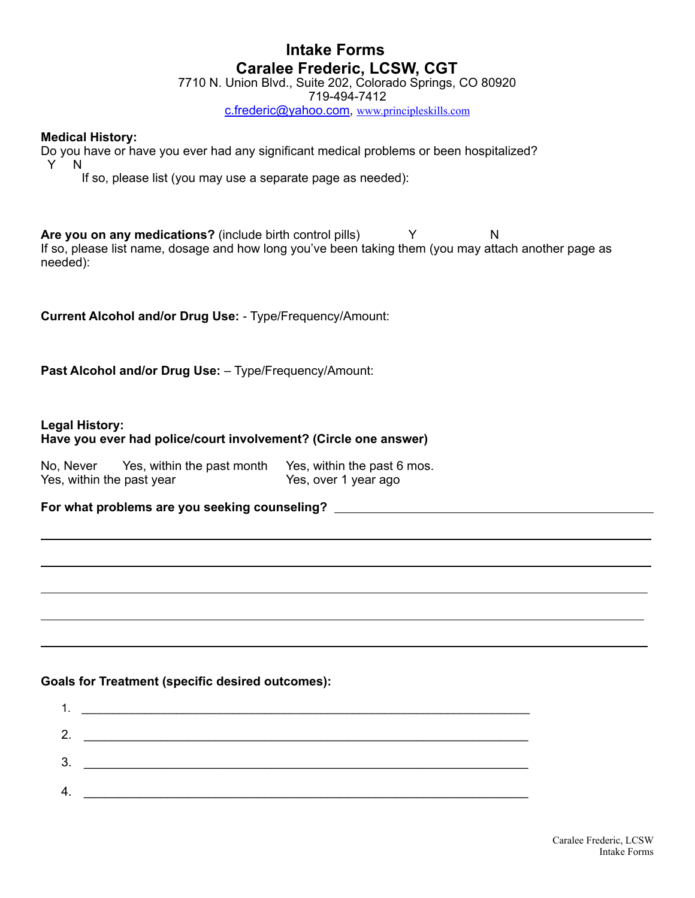7710 N. Union Blvd., Suite 202, Colorado Springs, CO 80920

719-494-7412

[c.frederic@yahoo.com](mailto:c.frederic@yahoo.com), [www.principleskills.com](http://www.principleskills.com)

### **Medical History:**

Do you have or have you ever had any significant medical problems or been hospitalized? Y N

If so, please list (you may use a separate page as needed):

**Are you on any medications?** (include birth control pills) Y N If so, please list name, dosage and how long you've been taking them (you may attach another page as needed):

**Current Alcohol and/or Drug Use:** - Type/Frequency/Amount:

**Past Alcohol and/or Drug Use:** – Type/Frequency/Amount:

### **Legal History:**

 $\overline{a}$ 

 $\overline{a}$ 

 $\overline{a}$ 

 $\overline{a}$ 

## **Have you ever had police/court involvement? (Circle one answer)**

| No. Never                 | Yes, within the past month | Yes, within the past 6 mos. |
|---------------------------|----------------------------|-----------------------------|
| Yes, within the past year |                            | Yes, over 1 year ago        |

**For what problems are you seeking counseling?**

### **Goals for Treatment (specific desired outcomes):**

| 1  |  |
|----|--|
| 2. |  |
| 3. |  |
| 4. |  |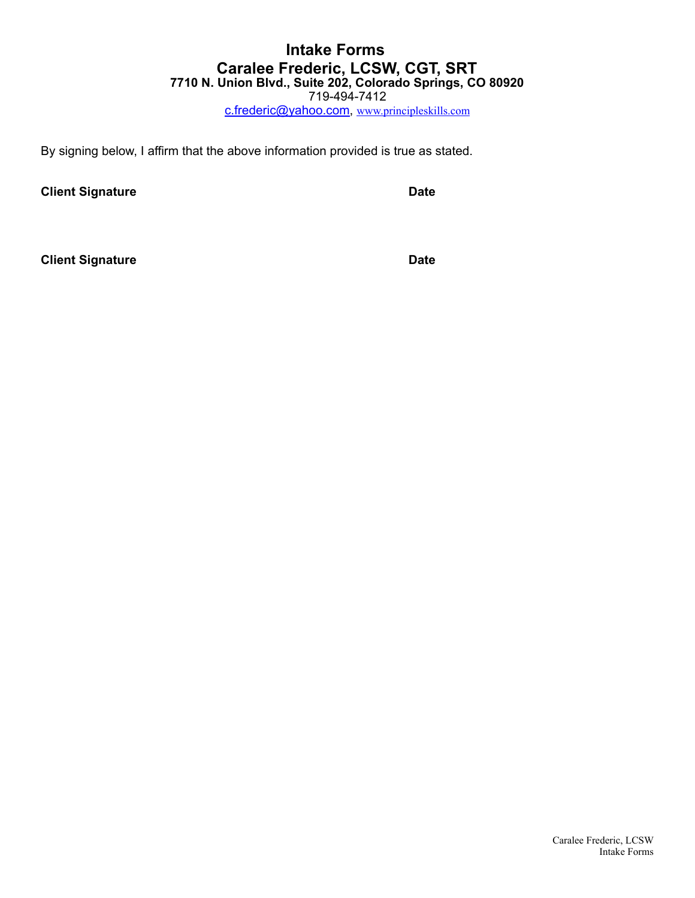[c.frederic@yahoo.com](mailto:c.frederic@yahoo.com), [www.principleskills.com](http://www.principleskills.com)

By signing below, I affirm that the above information provided is true as stated.

**Client Signature Date 2018** 

**Client Signature Date**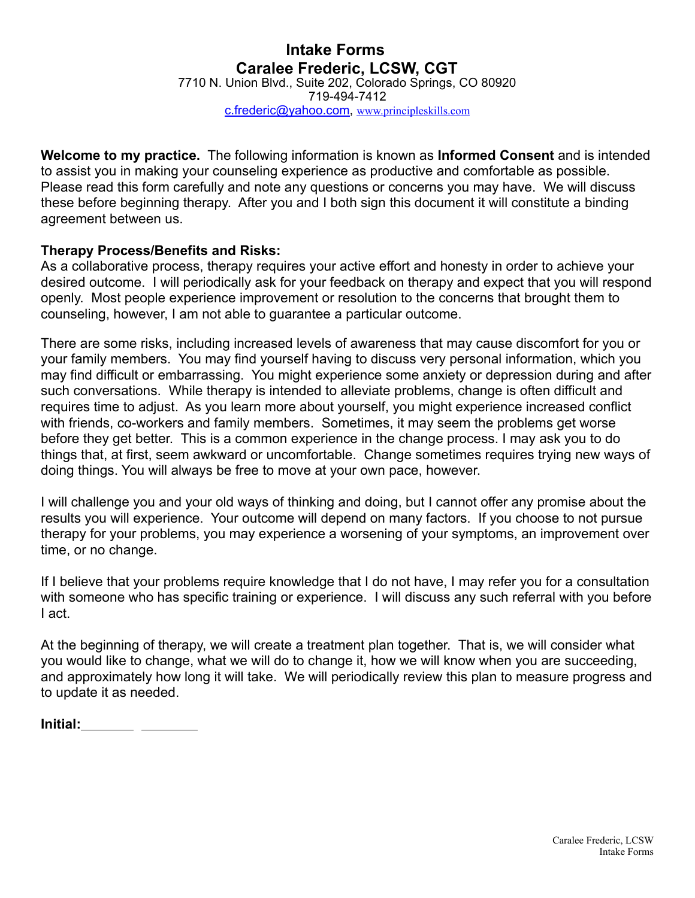7710 N. Union Blvd., Suite 202, Colorado Springs, CO 80920 719-494-7412 [c.frederic@yahoo.com](mailto:c.frederic@yahoo.com), [www.principleskills.com](http://www.principleskills.com)

**Welcome to my practice.** The following information is known as **Informed Consent** and is intended to assist you in making your counseling experience as productive and comfortable as possible. Please read this form carefully and note any questions or concerns you may have. We will discuss these before beginning therapy. After you and I both sign this document it will constitute a binding agreement between us.

## **Therapy Process/Benefits and Risks:**

As a collaborative process, therapy requires your active effort and honesty in order to achieve your desired outcome. I will periodically ask for your feedback on therapy and expect that you will respond openly. Most people experience improvement or resolution to the concerns that brought them to counseling, however, I am not able to guarantee a particular outcome.

There are some risks, including increased levels of awareness that may cause discomfort for you or your family members. You may find yourself having to discuss very personal information, which you may find difficult or embarrassing. You might experience some anxiety or depression during and after such conversations. While therapy is intended to alleviate problems, change is often difficult and requires time to adjust. As you learn more about yourself, you might experience increased conflict with friends, co-workers and family members. Sometimes, it may seem the problems get worse before they get better. This is a common experience in the change process. I may ask you to do things that, at first, seem awkward or uncomfortable. Change sometimes requires trying new ways of doing things. You will always be free to move at your own pace, however.

I will challenge you and your old ways of thinking and doing, but I cannot offer any promise about the results you will experience. Your outcome will depend on many factors. If you choose to not pursue therapy for your problems, you may experience a worsening of your symptoms, an improvement over time, or no change.

If I believe that your problems require knowledge that I do not have, I may refer you for a consultation with someone who has specific training or experience. I will discuss any such referral with you before I act.

At the beginning of therapy, we will create a treatment plan together. That is, we will consider what you would like to change, what we will do to change it, how we will know when you are succeeding, and approximately how long it will take. We will periodically review this plan to measure progress and to update it as needed.

| Initial: |
|----------|
|----------|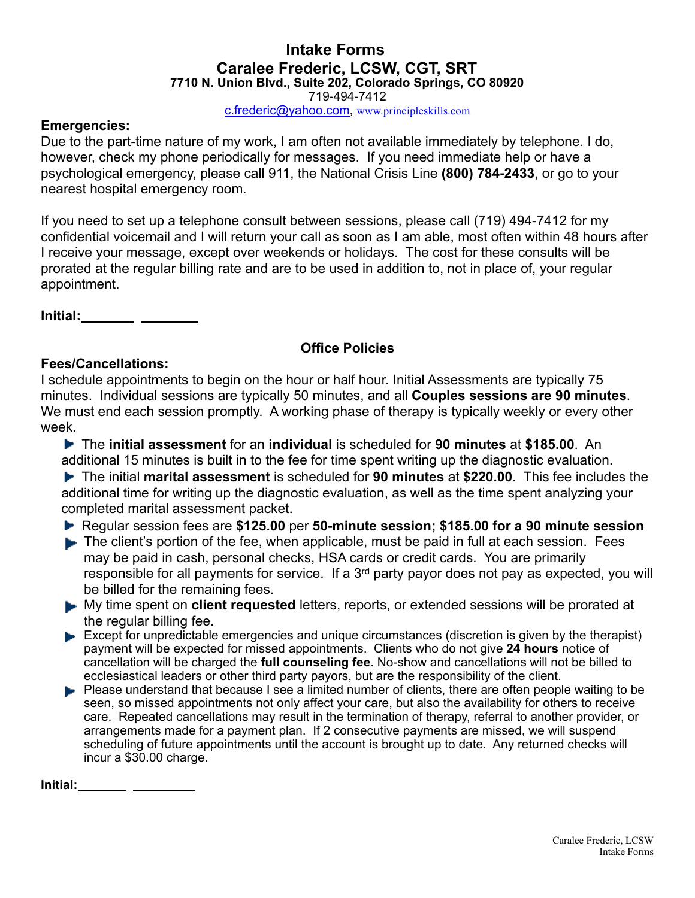719-494-7412

[c.frederic@yahoo.com](mailto:c.frederic@yahoo.com), [www.principleskills.com](http://www.principleskills.com)

## **Emergencies:**

Due to the part-time nature of my work, I am often not available immediately by telephone. I do, however, check my phone periodically for messages. If you need immediate help or have a psychological emergency, please call 911, the National Crisis Line **(800) 784-2433**, or go to your nearest hospital emergency room.

If you need to set up a telephone consult between sessions, please call (719) 494-7412 for my confidential voicemail and I will return your call as soon as I am able, most often within 48 hours after I receive your message, except over weekends or holidays. The cost for these consults will be prorated at the regular billing rate and are to be used in addition to, not in place of, your regular appointment.

**Initial:**

## **Office Policies**

## **Fees/Cancellations:**

I schedule appointments to begin on the hour or half hour. Initial Assessments are typically 75 minutes. Individual sessions are typically 50 minutes, and all **Couples sessions are 90 minutes**. We must end each session promptly. A working phase of therapy is typically weekly or every other week.

 The **initial assessment** for an **individual** is scheduled for **90 minutes** at **\$185.00**. An additional 15 minutes is built in to the fee for time spent writing up the diagnostic evaluation.

 The initial **marital assessment** is scheduled for **90 minutes** at **\$220.00**. This fee includes the additional time for writing up the diagnostic evaluation, as well as the time spent analyzing your completed marital assessment packet.

Regular session fees are **\$125.00** per **50-minute session; \$185.00 for a 90 minute session**

- The client's portion of the fee, when applicable, must be paid in full at each session. Fees may be paid in cash, personal checks, HSA cards or credit cards. You are primarily responsible for all payments for service. If a 3<sup>rd</sup> party payor does not pay as expected, you will be billed for the remaining fees.
- My time spent on **client requested** letters, reports, or extended sessions will be prorated at the regular billing fee.
- Except for unpredictable emergencies and unique circumstances (discretion is given by the therapist) payment will be expected for missed appointments. Clients who do not give **24 hours** notice of cancellation will be charged the **full counseling fee**. No-show and cancellations will not be billed to ecclesiastical leaders or other third party payors, but are the responsibility of the client.
- **Please understand that because I see a limited number of clients, there are often people waiting to be** seen, so missed appointments not only affect your care, but also the availability for others to receive care. Repeated cancellations may result in the termination of therapy, referral to another provider, or arrangements made for a payment plan. If 2 consecutive payments are missed, we will suspend scheduling of future appointments until the account is brought up to date. Any returned checks will incur a \$30.00 charge.

**Initial:**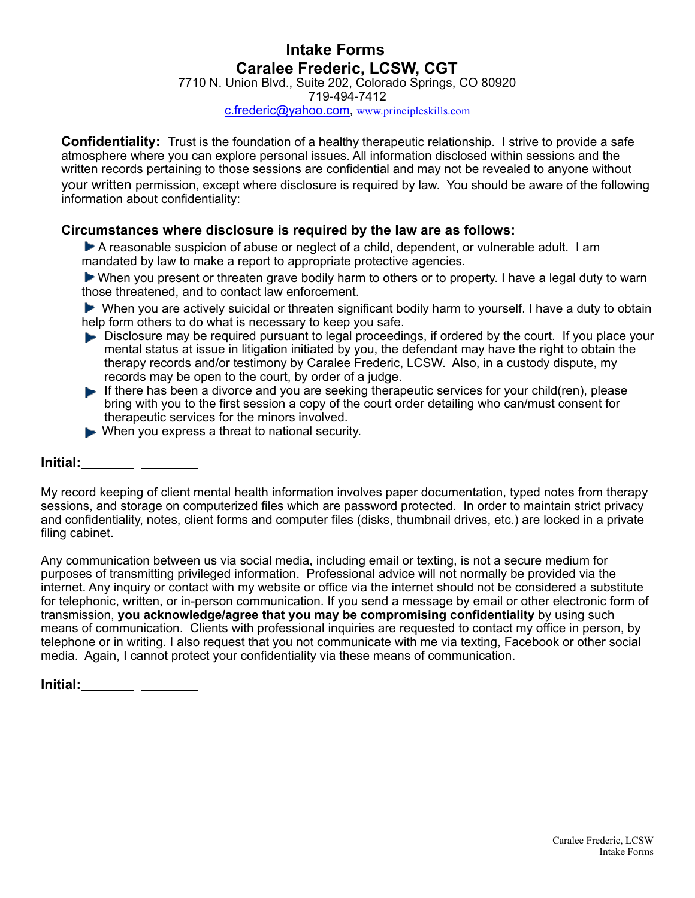7710 N. Union Blvd., Suite 202, Colorado Springs, CO 80920

719-494-7412

[c.frederic@yahoo.com](mailto:c.frederic@yahoo.com), [www.principleskills.com](http://www.principleskills.com)

**Confidentiality:** Trust is the foundation of a healthy therapeutic relationship. I strive to provide a safe atmosphere where you can explore personal issues. All information disclosed within sessions and the written records pertaining to those sessions are confidential and may not be revealed to anyone without your written permission, except where disclosure is required by law. You should be aware of the following information about confidentiality:

## **Circumstances where disclosure is required by the law are as follows:**

A reasonable suspicion of abuse or neglect of a child, dependent, or vulnerable adult. I am mandated by law to make a report to appropriate protective agencies.

 When you present or threaten grave bodily harm to others or to property. I have a legal duty to warn those threatened, and to contact law enforcement.

 When you are actively suicidal or threaten significant bodily harm to yourself. I have a duty to obtain help form others to do what is necessary to keep you safe.

- Disclosure may be required pursuant to legal proceedings, if ordered by the court. If you place your mental status at issue in litigation initiated by you, the defendant may have the right to obtain the therapy records and/or testimony by Caralee Frederic, LCSW. Also, in a custody dispute, my records may be open to the court, by order of a judge.
- If there has been a divorce and you are seeking therapeutic services for your child(ren), please bring with you to the first session a copy of the court order detailing who can/must consent for therapeutic services for the minors involved.
- When you express a threat to national security.

### **Initial:**

My record keeping of client mental health information involves paper documentation, typed notes from therapy sessions, and storage on computerized files which are password protected. In order to maintain strict privacy and confidentiality, notes, client forms and computer files (disks, thumbnail drives, etc.) are locked in a private filing cabinet.

Any communication between us via social media, including email or texting, is not a secure medium for purposes of transmitting privileged information. Professional advice will not normally be provided via the internet. Any inquiry or contact with my website or office via the internet should not be considered a substitute for telephonic, written, or in-person communication. If you send a message by email or other electronic form of transmission, **you acknowledge/agree that you may be compromising confidentiality** by using such means of communication. Clients with professional inquiries are requested to contact my office in person, by telephone or in writing. I also request that you not communicate with me via texting, Facebook or other social media. Again, I cannot protect your confidentiality via these means of communication.

| Initial:<br>$\sim$<br>$\sim$ |  |
|------------------------------|--|
|------------------------------|--|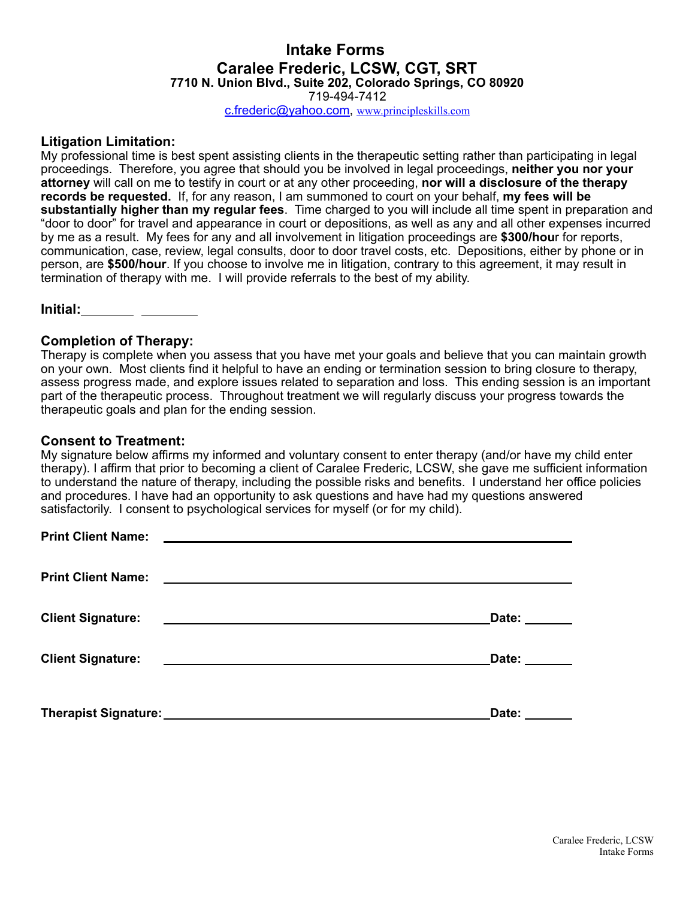719-494-7412

[c.frederic@yahoo.com](mailto:c.frederic@yahoo.com), [www.principleskills.com](http://www.principleskills.com)

#### **Litigation Limitation:**

My professional time is best spent assisting clients in the therapeutic setting rather than participating in legal proceedings. Therefore, you agree that should you be involved in legal proceedings, **neither you nor your attorney** will call on me to testify in court or at any other proceeding, **nor will a disclosure of the therapy records be requested.** If, for any reason, I am summoned to court on your behalf, **my fees will be substantially higher than my regular fees**. Time charged to you will include all time spent in preparation and "door to door" for travel and appearance in court or depositions, as well as any and all other expenses incurred by me as a result. My fees for any and all involvement in litigation proceedings are **\$300/hou**r for reports, communication, case, review, legal consults, door to door travel costs, etc. Depositions, either by phone or in person, are **\$500/hour**. If you choose to involve me in litigation, contrary to this agreement, it may result in termination of therapy with me. I will provide referrals to the best of my ability.

**Initial:**

#### **Completion of Therapy:**

Therapy is complete when you assess that you have met your goals and believe that you can maintain growth on your own. Most clients find it helpful to have an ending or termination session to bring closure to therapy, assess progress made, and explore issues related to separation and loss. This ending session is an important part of the therapeutic process. Throughout treatment we will regularly discuss your progress towards the therapeutic goals and plan for the ending session.

#### **Consent to Treatment:**

My signature below affirms my informed and voluntary consent to enter therapy (and/or have my child enter therapy). I affirm that prior to becoming a client of Caralee Frederic, LCSW, she gave me sufficient information to understand the nature of therapy, including the possible risks and benefits. I understand her office policies and procedures. I have had an opportunity to ask questions and have had my questions answered satisfactorily. I consent to psychological services for myself (or for my child).

| <b>Client Signature:</b><br><u> 1980 - Johann Barn, fransk politik amerikansk politik (</u> | Date: $\_\_$ |
|---------------------------------------------------------------------------------------------|--------------|
| <b>Client Signature:</b><br><u> 1980 - Andrea Stadt, fransk politik (d. 1980)</u>           | Date:        |
|                                                                                             | Date: ______ |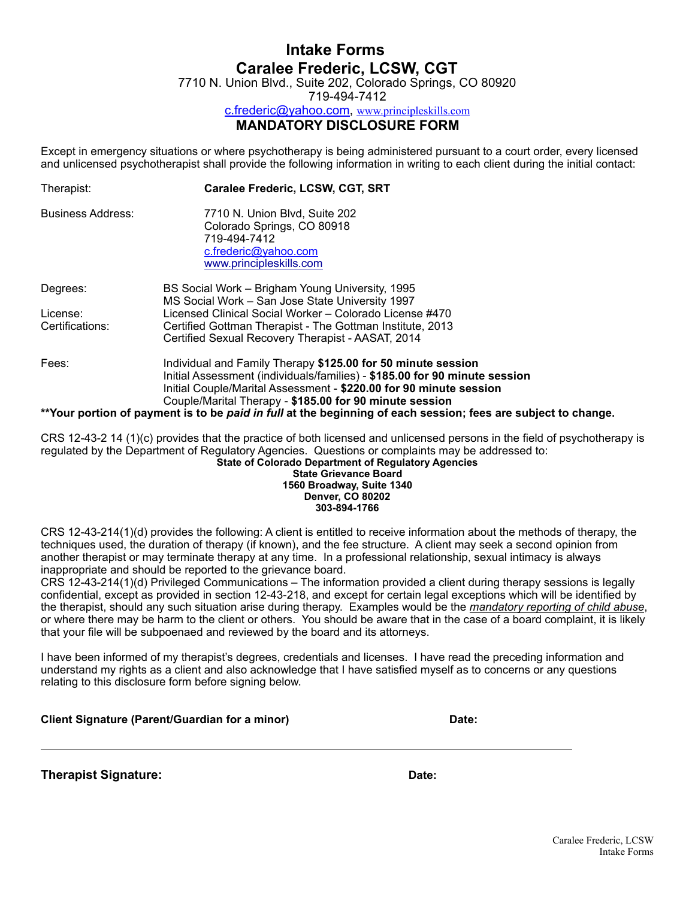7710 N. Union Blvd., Suite 202, Colorado Springs, CO 80920

719-494-7412

[c.frederic@yahoo.com](mailto:c.frederic@yahoo.com), [www.principleskills.com](http://www.principleskills.com)

#### **MANDATORY DISCLOSURE FORM**

Except in emergency situations or where psychotherapy is being administered pursuant to a court order, every licensed and unlicensed psychotherapist shall provide the following information in writing to each client during the initial contact:

| Therapist:               | Caralee Frederic, LCSW, CGT, SRT                                                                                                                                                                                                                                            |
|--------------------------|-----------------------------------------------------------------------------------------------------------------------------------------------------------------------------------------------------------------------------------------------------------------------------|
| <b>Business Address:</b> | 7710 N. Union Blvd, Suite 202<br>Colorado Springs, CO 80918<br>719-494-7412<br>c.frederic@yahoo.com<br>www.principleskills.com                                                                                                                                              |
| Degrees:                 | BS Social Work – Brigham Young University, 1995<br>MS Social Work - San Jose State University 1997                                                                                                                                                                          |
| License:                 | Licensed Clinical Social Worker - Colorado License #470                                                                                                                                                                                                                     |
| Certifications:          | Certified Gottman Therapist - The Gottman Institute, 2013<br>Certified Sexual Recovery Therapist - AASAT, 2014                                                                                                                                                              |
| Fees:                    | Individual and Family Therapy \$125.00 for 50 minute session<br>Initial Assessment (individuals/families) - \$185.00 for 90 minute session<br>Initial Couple/Marital Assessment - \$220.00 for 90 minute session<br>Couple/Marital Therapy - \$185.00 for 90 minute session |
|                          | **Your portion of payment is to be paid in full at the beginning of each session; fees are subject to change.                                                                                                                                                               |

CRS 12-43-2 14 (1)(c) provides that the practice of both licensed and unlicensed persons in the field of psychotherapy is regulated by the Department of Regulatory Agencies. Questions or complaints may be addressed to: **State of Colorado Department of Regulatory Agencies**

#### **State Grievance Board 1560 Broadway, Suite 1340 Denver, CO 80202 303-894-1766**

CRS 12-43-214(1)(d) provides the following: A client is entitled to receive information about the methods of therapy, the techniques used, the duration of therapy (if known), and the fee structure. A client may seek a second opinion from another therapist or may terminate therapy at any time. In a professional relationship, sexual intimacy is always inappropriate and should be reported to the grievance board.

CRS 12-43-214(1)(d) Privileged Communications – The information provided a client during therapy sessions is legally confidential, except as provided in section 12-43-218, and except for certain legal exceptions which will be identified by the therapist, should any such situation arise during therapy. Examples would be the *mandatory reporting of child abuse*, or where there may be harm to the client or others. You should be aware that in the case of a board complaint, it is likely that your file will be subpoenaed and reviewed by the board and its attorneys.

I have been informed of my therapist's degrees, credentials and licenses. I have read the preceding information and understand my rights as a client and also acknowledge that I have satisfied myself as to concerns or any questions relating to this disclosure form before signing below.

| <b>Client Signature (Parent/Guardian for a minor)</b> | Date: |
|-------------------------------------------------------|-------|
|                                                       |       |

**Therapist Signature: Date:**

 $\overline{a}$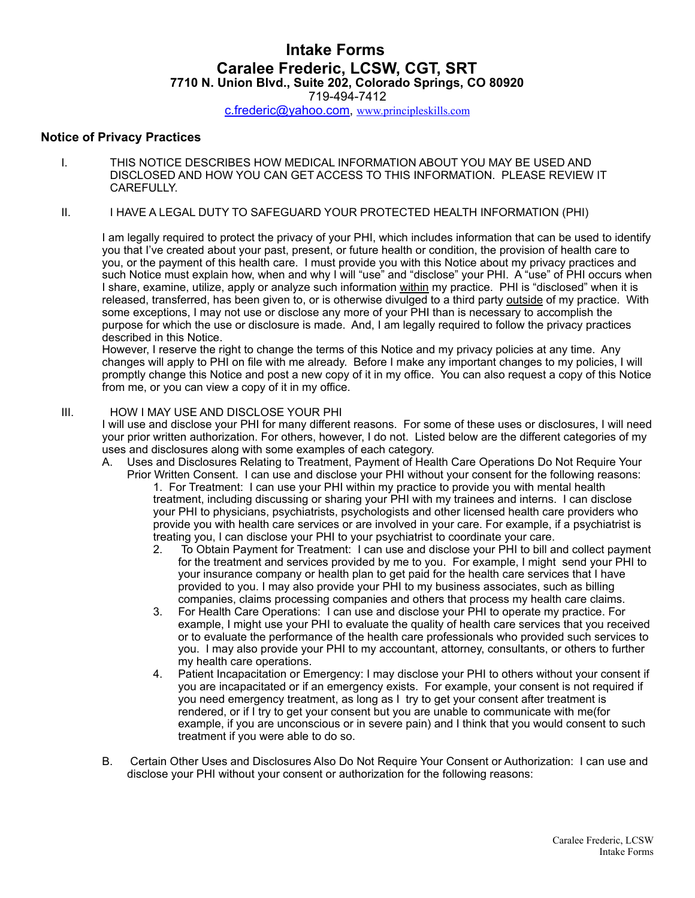719-494-7412

[c.frederic@yahoo.com](mailto:c.frederic@yahoo.com), [www.principleskills.com](http://www.principleskills.com)

#### **Notice of Privacy Practices**

- I. THIS NOTICE DESCRIBES HOW MEDICAL INFORMATION ABOUT YOU MAY BE USED AND DISCLOSED AND HOW YOU CAN GET ACCESS TO THIS INFORMATION. PLEASE REVIEW IT CAREFULLY.
- II. I HAVE A LEGAL DUTY TO SAFEGUARD YOUR PROTECTED HEALTH INFORMATION (PHI)

I am legally required to protect the privacy of your PHI, which includes information that can be used to identify you that I've created about your past, present, or future health or condition, the provision of health care to you, or the payment of this health care. I must provide you with this Notice about my privacy practices and such Notice must explain how, when and why I will "use" and "disclose" your PHI. A "use" of PHI occurs when I share, examine, utilize, apply or analyze such information within my practice. PHI is "disclosed" when it is released, transferred, has been given to, or is otherwise divulged to a third party outside of my practice. With some exceptions, I may not use or disclose any more of your PHI than is necessary to accomplish the purpose for which the use or disclosure is made. And, I am legally required to follow the privacy practices described in this Notice.

However, I reserve the right to change the terms of this Notice and my privacy policies at any time. Any changes will apply to PHI on file with me already. Before I make any important changes to my policies, I will promptly change this Notice and post a new copy of it in my office. You can also request a copy of this Notice from me, or you can view a copy of it in my office.

#### III. HOW I MAY USE AND DISCLOSE YOUR PHI

I will use and disclose your PHI for many different reasons. For some of these uses or disclosures, I will need your prior written authorization. For others, however, I do not. Listed below are the different categories of my uses and disclosures along with some examples of each category.

- A. Uses and Disclosures Relating to Treatment, Payment of Health Care Operations Do Not Require Your Prior Written Consent. I can use and disclose your PHI without your consent for the following reasons: 1. For Treatment: I can use your PHI within my practice to provide you with mental health treatment, including discussing or sharing your PHI with my trainees and interns. I can disclose your PHI to physicians, psychiatrists, psychologists and other licensed health care providers who provide you with health care services or are involved in your care. For example, if a psychiatrist is treating you, I can disclose your PHI to your psychiatrist to coordinate your care.
	- 2. To Obtain Payment for Treatment: I can use and disclose your PHI to bill and collect payment for the treatment and services provided by me to you. For example, I might send your PHI to your insurance company or health plan to get paid for the health care services that I have provided to you. I may also provide your PHI to my business associates, such as billing companies, claims processing companies and others that process my health care claims.
	- 3. For Health Care Operations: I can use and disclose your PHI to operate my practice. For example, I might use your PHI to evaluate the quality of health care services that you received or to evaluate the performance of the health care professionals who provided such services to you. I may also provide your PHI to my accountant, attorney, consultants, or others to further my health care operations.
	- 4. Patient Incapacitation or Emergency: I may disclose your PHI to others without your consent if you are incapacitated or if an emergency exists. For example, your consent is not required if you need emergency treatment, as long as I try to get your consent after treatment is rendered, or if I try to get your consent but you are unable to communicate with me(for example, if you are unconscious or in severe pain) and I think that you would consent to such treatment if you were able to do so.
- B. Certain Other Uses and Disclosures Also Do Not Require Your Consent or Authorization: I can use and disclose your PHI without your consent or authorization for the following reasons: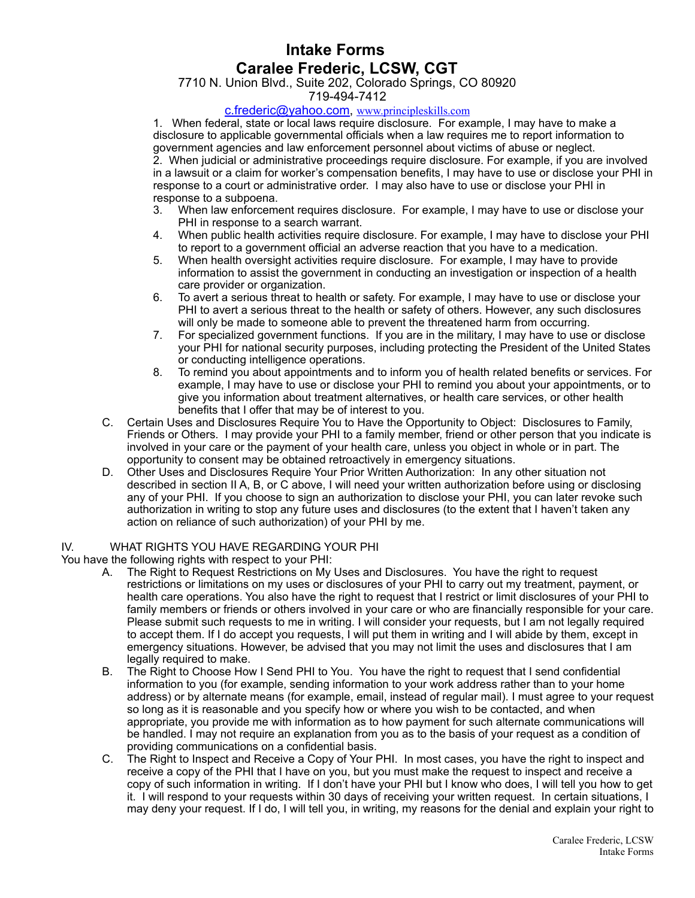7710 N. Union Blvd., Suite 202, Colorado Springs, CO 80920

719-494-7412

#### [c.frederic@yahoo.com](mailto:c.frederic@yahoo.com), [www.principleskills.com](http://www.principleskills.com)

1. When federal, state or local laws require disclosure. For example, I may have to make a disclosure to applicable governmental officials when a law requires me to report information to government agencies and law enforcement personnel about victims of abuse or neglect. 2. When judicial or administrative proceedings require disclosure. For example, if you are involved in a lawsuit or a claim for worker's compensation benefits, I may have to use or disclose your PHI in response to a court or administrative order. I may also have to use or disclose your PHI in response to a subpoena.

- 3. When law enforcement requires disclosure. For example, I may have to use or disclose your PHI in response to a search warrant.
- 4. When public health activities require disclosure. For example, I may have to disclose your PHI to report to a government official an adverse reaction that you have to a medication.
- 5. When health oversight activities require disclosure. For example, I may have to provide information to assist the government in conducting an investigation or inspection of a health care provider or organization.
- 6. To avert a serious threat to health or safety. For example, I may have to use or disclose your PHI to avert a serious threat to the health or safety of others. However, any such disclosures will only be made to someone able to prevent the threatened harm from occurring.
- 7. For specialized government functions. If you are in the military, I may have to use or disclose your PHI for national security purposes, including protecting the President of the United States or conducting intelligence operations.
- 8. To remind you about appointments and to inform you of health related benefits or services. For example, I may have to use or disclose your PHI to remind you about your appointments, or to give you information about treatment alternatives, or health care services, or other health benefits that I offer that may be of interest to you.
- C. Certain Uses and Disclosures Require You to Have the Opportunity to Object: Disclosures to Family, Friends or Others. I may provide your PHI to a family member, friend or other person that you indicate is involved in your care or the payment of your health care, unless you object in whole or in part. The opportunity to consent may be obtained retroactively in emergency situations.
- D. Other Uses and Disclosures Require Your Prior Written Authorization: In any other situation not described in section II A, B, or C above, I will need your written authorization before using or disclosing any of your PHI. If you choose to sign an authorization to disclose your PHI, you can later revoke such authorization in writing to stop any future uses and disclosures (to the extent that I haven't taken any action on reliance of such authorization) of your PHI by me.

#### IV. WHAT RIGHTS YOU HAVE REGARDING YOUR PHI

You have the following rights with respect to your PHI:

- A. The Right to Request Restrictions on My Uses and Disclosures. You have the right to request restrictions or limitations on my uses or disclosures of your PHI to carry out my treatment, payment, or health care operations. You also have the right to request that I restrict or limit disclosures of your PHI to family members or friends or others involved in your care or who are financially responsible for your care. Please submit such requests to me in writing. I will consider your requests, but I am not legally required to accept them. If I do accept you requests, I will put them in writing and I will abide by them, except in emergency situations. However, be advised that you may not limit the uses and disclosures that I am legally required to make.
- B. The Right to Choose How I Send PHI to You. You have the right to request that I send confidential information to you (for example, sending information to your work address rather than to your home address) or by alternate means (for example, email, instead of regular mail). I must agree to your request so long as it is reasonable and you specify how or where you wish to be contacted, and when appropriate, you provide me with information as to how payment for such alternate communications will be handled. I may not require an explanation from you as to the basis of your request as a condition of providing communications on a confidential basis.
- C. The Right to Inspect and Receive a Copy of Your PHI. In most cases, you have the right to inspect and receive a copy of the PHI that I have on you, but you must make the request to inspect and receive a copy of such information in writing. If I don't have your PHI but I know who does, I will tell you how to get it. I will respond to your requests within 30 days of receiving your written request. In certain situations, I may deny your request. If I do, I will tell you, in writing, my reasons for the denial and explain your right to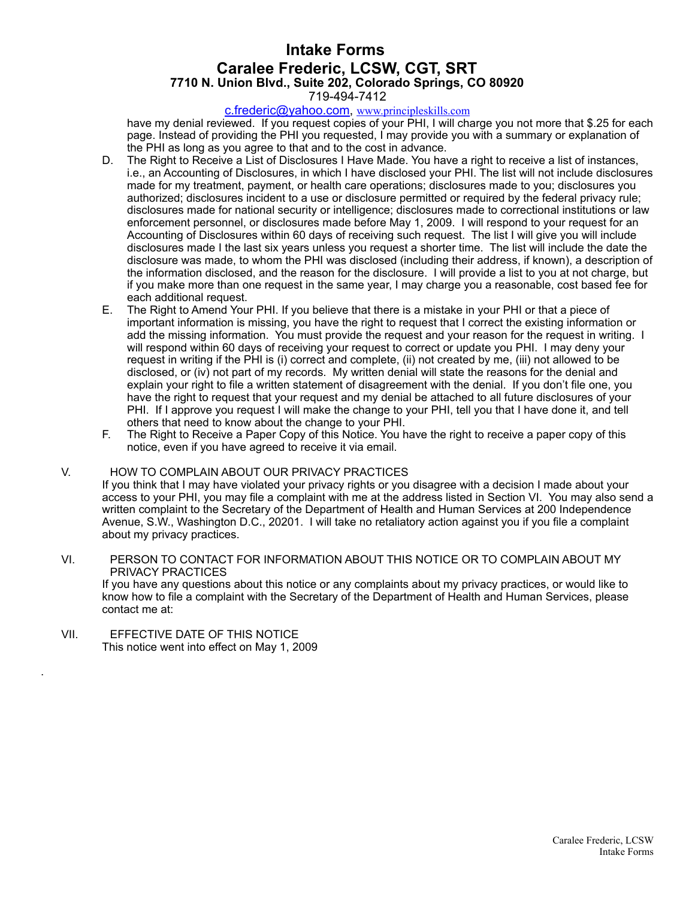#### 719-494-7412

#### [c.frederic@yahoo.com](mailto:c.frederic@yahoo.com), [www.principleskills.com](http://www.principleskills.com)

have my denial reviewed. If you request copies of your PHI, I will charge you not more that \$.25 for each page. Instead of providing the PHI you requested, I may provide you with a summary or explanation of the PHI as long as you agree to that and to the cost in advance.

- D. The Right to Receive a List of Disclosures I Have Made. You have a right to receive a list of instances, i.e., an Accounting of Disclosures, in which I have disclosed your PHI. The list will not include disclosures made for my treatment, payment, or health care operations; disclosures made to you; disclosures you authorized; disclosures incident to a use or disclosure permitted or required by the federal privacy rule; disclosures made for national security or intelligence; disclosures made to correctional institutions or law enforcement personnel, or disclosures made before May 1, 2009. I will respond to your request for an Accounting of Disclosures within 60 days of receiving such request. The list I will give you will include disclosures made I the last six years unless you request a shorter time. The list will include the date the disclosure was made, to whom the PHI was disclosed (including their address, if known), a description of the information disclosed, and the reason for the disclosure. I will provide a list to you at not charge, but if you make more than one request in the same year, I may charge you a reasonable, cost based fee for each additional request.
- E. The Right to Amend Your PHI. If you believe that there is a mistake in your PHI or that a piece of important information is missing, you have the right to request that I correct the existing information or add the missing information. You must provide the request and your reason for the request in writing. I will respond within 60 days of receiving your request to correct or update you PHI. I may deny your request in writing if the PHI is (i) correct and complete, (ii) not created by me, (iii) not allowed to be disclosed, or (iv) not part of my records. My written denial will state the reasons for the denial and explain your right to file a written statement of disagreement with the denial. If you don't file one, you have the right to request that your request and my denial be attached to all future disclosures of your PHI. If I approve you request I will make the change to your PHI, tell you that I have done it, and tell others that need to know about the change to your PHI.
- F. The Right to Receive a Paper Copy of this Notice. You have the right to receive a paper copy of this notice, even if you have agreed to receive it via email.

#### V. HOW TO COMPLAIN ABOUT OUR PRIVACY PRACTICES

If you think that I may have violated your privacy rights or you disagree with a decision I made about your access to your PHI, you may file a complaint with me at the address listed in Section VI. You may also send a written complaint to the Secretary of the Department of Health and Human Services at 200 Independence Avenue, S.W., Washington D.C., 20201. I will take no retaliatory action against you if you file a complaint about my privacy practices.

#### VI. PERSON TO CONTACT FOR INFORMATION ABOUT THIS NOTICE OR TO COMPLAIN ABOUT MY PRIVACY PRACTICES

If you have any questions about this notice or any complaints about my privacy practices, or would like to know how to file a complaint with the Secretary of the Department of Health and Human Services, please contact me at:

VII. EFFECTIVE DATE OF THIS NOTICE This notice went into effect on May 1, 2009

.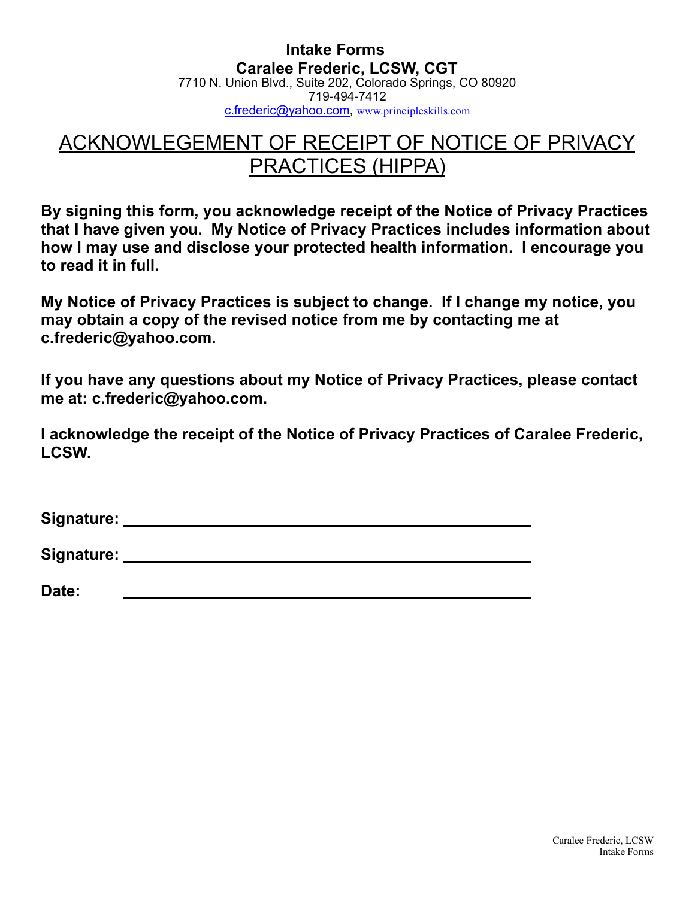**Intake Forms Caralee Frederic, LCSW, CGT**  7710 N. Union Blvd., Suite 202, Colorado Springs, CO 80920 719-494-7412 [c.frederic@yahoo.com](mailto:c.frederic@yahoo.com), [www.principleskills.com](http://www.principleskills.com)

# ACKNOWLEGEMENT OF RECEIPT OF NOTICE OF PRIVACY PRACTICES (HIPPA)

**By signing this form, you acknowledge receipt of the Notice of Privacy Practices that I have given you. My Notice of Privacy Practices includes information about how I may use and disclose your protected health information. I encourage you to read it in full.**

**My Notice of Privacy Practices is subject to change. If I change my notice, you may obtain a copy of the revised notice from me by contacting me at c.frederic@yahoo.com.**

**If you have any questions about my Notice of Privacy Practices, please contact me at: c.frederic@yahoo.com.**

**I acknowledge the receipt of the Notice of Privacy Practices of Caralee Frederic, LCSW.**

| Signature: |  |  |
|------------|--|--|
|            |  |  |

**Signature:** 

**Date:**